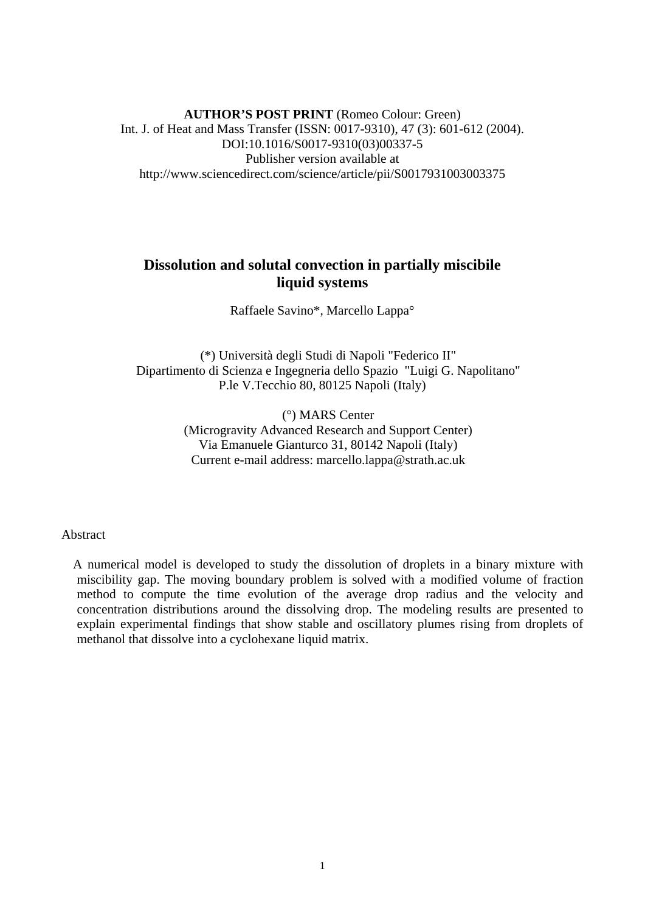**AUTHOR'S POST PRINT** (Romeo Colour: Green) Int. J. of Heat and Mass Transfer (ISSN: 0017-9310), 47 (3): 601-612 (2004). DOI:10.1016/S0017-9310(03)00337-5 Publisher version available at http://www.sciencedirect.com/science/article/pii/S0017931003003375

# **Dissolution and solutal convection in partially miscibile liquid systems**

Raffaele Savino\*, Marcello Lappa°

(\*) Università degli Studi di Napoli "Federico II" Dipartimento di Scienza e Ingegneria dello Spazio "Luigi G. Napolitano" P.le V.Tecchio 80, 80125 Napoli (Italy)

> (°) MARS Center (Microgravity Advanced Research and Support Center) Via Emanuele Gianturco 31, 80142 Napoli (Italy) Current e-mail address: marcello.lappa@strath.ac.uk

#### Abstract

A numerical model is developed to study the dissolution of droplets in a binary mixture with miscibility gap. The moving boundary problem is solved with a modified volume of fraction method to compute the time evolution of the average drop radius and the velocity and concentration distributions around the dissolving drop. The modeling results are presented to explain experimental findings that show stable and oscillatory plumes rising from droplets of methanol that dissolve into a cyclohexane liquid matrix.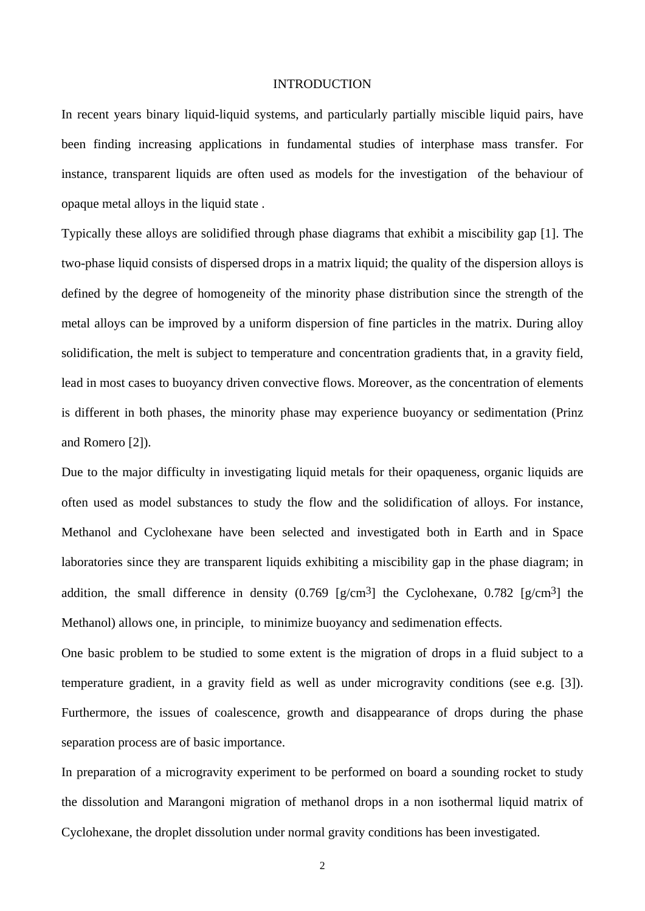### INTRODUCTION

In recent years binary liquid-liquid systems, and particularly partially miscible liquid pairs, have been finding increasing applications in fundamental studies of interphase mass transfer. For instance, transparent liquids are often used as models for the investigation of the behaviour of opaque metal alloys in the liquid state .

Typically these alloys are solidified through phase diagrams that exhibit a miscibility gap [1]. The two-phase liquid consists of dispersed drops in a matrix liquid; the quality of the dispersion alloys is defined by the degree of homogeneity of the minority phase distribution since the strength of the metal alloys can be improved by a uniform dispersion of fine particles in the matrix. During alloy solidification, the melt is subject to temperature and concentration gradients that, in a gravity field, lead in most cases to buoyancy driven convective flows. Moreover, as the concentration of elements is different in both phases, the minority phase may experience buoyancy or sedimentation (Prinz and Romero [2]).

Due to the major difficulty in investigating liquid metals for their opaqueness, organic liquids are often used as model substances to study the flow and the solidification of alloys. For instance, Methanol and Cyclohexane have been selected and investigated both in Earth and in Space laboratories since they are transparent liquids exhibiting a miscibility gap in the phase diagram; in addition, the small difference in density  $(0.769 \text{ [g/cm}^3)$  the Cyclohexane,  $(0.782 \text{ [g/cm}^3)$  the Methanol) allows one, in principle, to minimize buoyancy and sedimenation effects.

One basic problem to be studied to some extent is the migration of drops in a fluid subject to a temperature gradient, in a gravity field as well as under microgravity conditions (see e.g. [3]). Furthermore, the issues of coalescence, growth and disappearance of drops during the phase separation process are of basic importance.

In preparation of a microgravity experiment to be performed on board a sounding rocket to study the dissolution and Marangoni migration of methanol drops in a non isothermal liquid matrix of Cyclohexane, the droplet dissolution under normal gravity conditions has been investigated.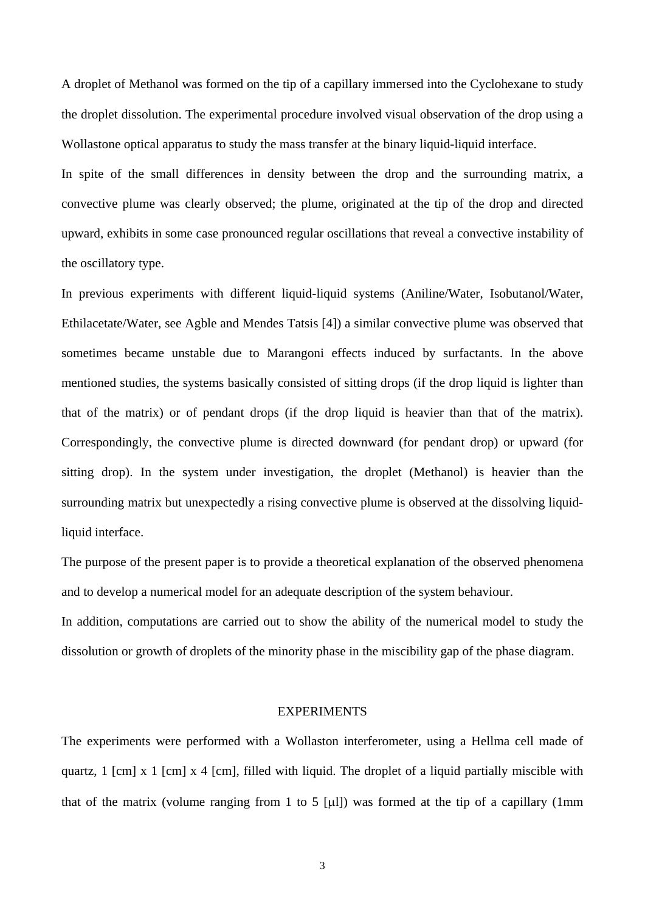A droplet of Methanol was formed on the tip of a capillary immersed into the Cyclohexane to study the droplet dissolution. The experimental procedure involved visual observation of the drop using a Wollastone optical apparatus to study the mass transfer at the binary liquid-liquid interface.

In spite of the small differences in density between the drop and the surrounding matrix, a convective plume was clearly observed; the plume, originated at the tip of the drop and directed upward, exhibits in some case pronounced regular oscillations that reveal a convective instability of the oscillatory type.

In previous experiments with different liquid-liquid systems (Aniline/Water, Isobutanol/Water, Ethilacetate/Water, see Agble and Mendes Tatsis [4]) a similar convective plume was observed that sometimes became unstable due to Marangoni effects induced by surfactants. In the above mentioned studies, the systems basically consisted of sitting drops (if the drop liquid is lighter than that of the matrix) or of pendant drops (if the drop liquid is heavier than that of the matrix). Correspondingly, the convective plume is directed downward (for pendant drop) or upward (for sitting drop). In the system under investigation, the droplet (Methanol) is heavier than the surrounding matrix but unexpectedly a rising convective plume is observed at the dissolving liquidliquid interface.

The purpose of the present paper is to provide a theoretical explanation of the observed phenomena and to develop a numerical model for an adequate description of the system behaviour.

In addition, computations are carried out to show the ability of the numerical model to study the dissolution or growth of droplets of the minority phase in the miscibility gap of the phase diagram.

### **EXPERIMENTS**

The experiments were performed with a Wollaston interferometer, using a Hellma cell made of quartz, 1 [cm] x 1 [cm] x 4 [cm], filled with liquid. The droplet of a liquid partially miscible with that of the matrix (volume ranging from 1 to 5 [µ]) was formed at the tip of a capillary (1mm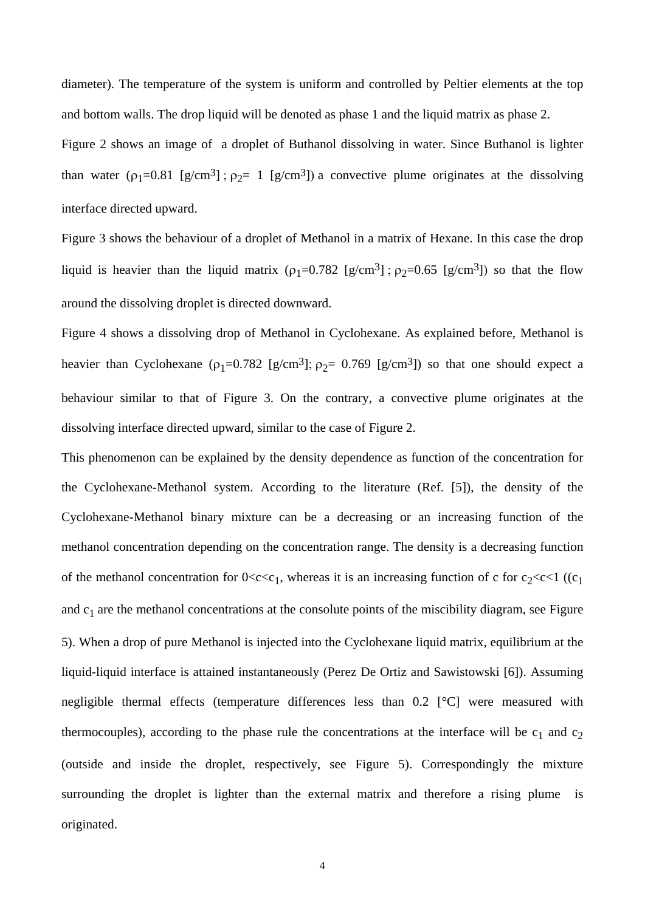diameter). The temperature of the system is uniform and controlled by Peltier elements at the top and bottom walls. The drop liquid will be denoted as phase 1 and the liquid matrix as phase 2. Figure 2 shows an image of a droplet of Buthanol dissolving in water. Since Buthanol is lighter than water  $(\rho_1=0.81 \,[\text{g/cm}^3]; \rho_2= 1 \,[\text{g/cm}^3])$  a convective plume originates at the dissolving interface directed upward.

Figure 3 shows the behaviour of a droplet of Methanol in a matrix of Hexane. In this case the drop liquid is heavier than the liquid matrix  $(\rho_1=0.782 \,[\text{g/cm}^3])$ ;  $\rho_2=0.65 \,[\text{g/cm}^3])$  so that the flow around the dissolving droplet is directed downward.

Figure 4 shows a dissolving drop of Methanol in Cyclohexane. As explained before, Methanol is heavier than Cyclohexane ( $\rho_1$ =0.782 [g/cm<sup>3</sup>];  $\rho_2$ = 0.769 [g/cm<sup>3</sup>]) so that one should expect a behaviour similar to that of Figure 3. On the contrary, a convective plume originates at the dissolving interface directed upward, similar to the case of Figure 2.

This phenomenon can be explained by the density dependence as function of the concentration for the Cyclohexane-Methanol system. According to the literature (Ref. [5]), the density of the Cyclohexane-Methanol binary mixture can be a decreasing or an increasing function of the methanol concentration depending on the concentration range. The density is a decreasing function of the methanol concentration for  $0 < c < c<sub>1</sub>$ , whereas it is an increasing function of c for  $c<sub>2</sub>< c < 1$  ((c<sub>1</sub>) and  $c_1$  are the methanol concentrations at the consolute points of the miscibility diagram, see Figure 5). When a drop of pure Methanol is injected into the Cyclohexane liquid matrix, equilibrium at the liquid-liquid interface is attained instantaneously (Perez De Ortiz and Sawistowski [6]). Assuming negligible thermal effects (temperature differences less than 0.2 [°C] were measured with thermocouples), according to the phase rule the concentrations at the interface will be  $c_1$  and  $c_2$ (outside and inside the droplet, respectively, see Figure 5). Correspondingly the mixture surrounding the droplet is lighter than the external matrix and therefore a rising plume is originated.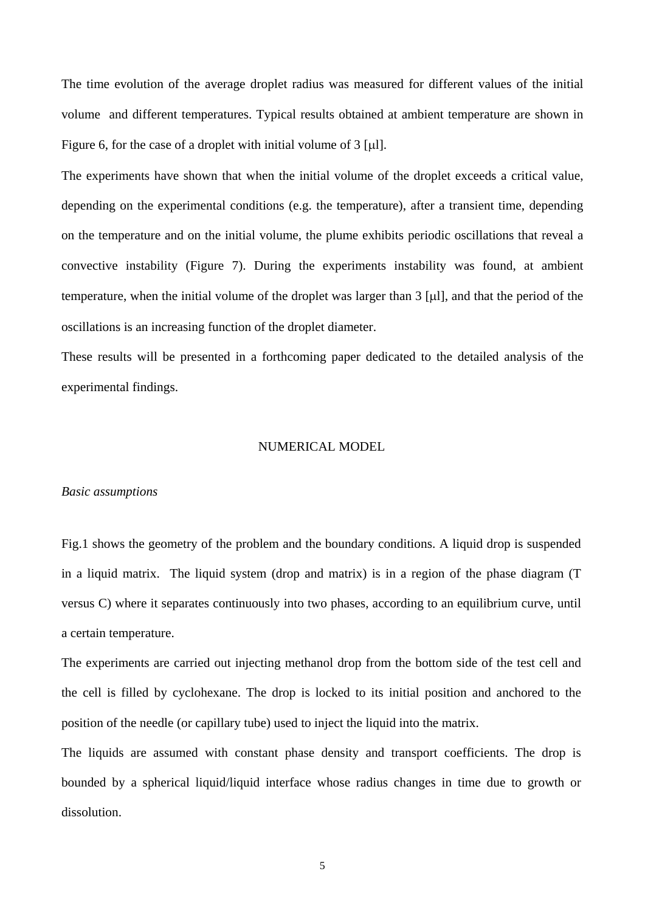The time evolution of the average droplet radius was measured for different values of the initial volume and different temperatures. Typical results obtained at ambient temperature are shown in Figure 6, for the case of a droplet with initial volume of  $3 \lceil \mu \rceil$ .

The experiments have shown that when the initial volume of the droplet exceeds a critical value, depending on the experimental conditions (e.g. the temperature), after a transient time, depending on the temperature and on the initial volume, the plume exhibits periodic oscillations that reveal a convective instability (Figure 7). During the experiments instability was found, at ambient temperature, when the initial volume of the droplet was larger than  $3 \left[ \mu \right]$ , and that the period of the oscillations is an increasing function of the droplet diameter.

These results will be presented in a forthcoming paper dedicated to the detailed analysis of the experimental findings.

#### NUMERICAL MODEL

#### *Basic assumptions*

Fig.1 shows the geometry of the problem and the boundary conditions. A liquid drop is suspended in a liquid matrix. The liquid system (drop and matrix) is in a region of the phase diagram (T versus C) where it separates continuously into two phases, according to an equilibrium curve, until a certain temperature.

The experiments are carried out injecting methanol drop from the bottom side of the test cell and the cell is filled by cyclohexane. The drop is locked to its initial position and anchored to the position of the needle (or capillary tube) used to inject the liquid into the matrix.

The liquids are assumed with constant phase density and transport coefficients. The drop is bounded by a spherical liquid/liquid interface whose radius changes in time due to growth or dissolution.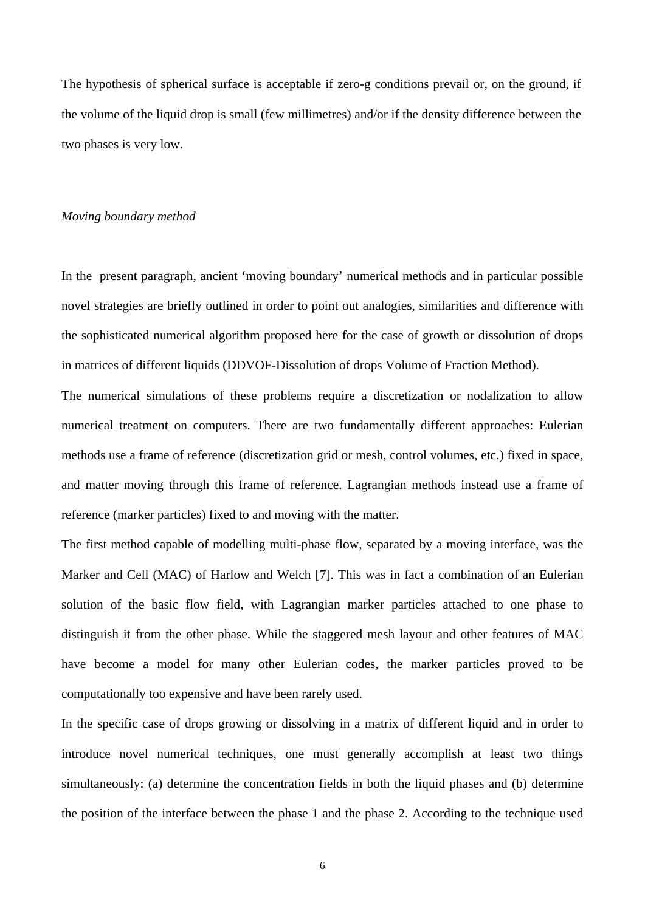The hypothesis of spherical surface is acceptable if zero-g conditions prevail or, on the ground, if the volume of the liquid drop is small (few millimetres) and/or if the density difference between the two phases is very low.

### *Moving boundary method*

In the present paragraph, ancient 'moving boundary' numerical methods and in particular possible novel strategies are briefly outlined in order to point out analogies, similarities and difference with the sophisticated numerical algorithm proposed here for the case of growth or dissolution of drops in matrices of different liquids (DDVOF-Dissolution of drops Volume of Fraction Method).

The numerical simulations of these problems require a discretization or nodalization to allow numerical treatment on computers. There are two fundamentally different approaches: Eulerian methods use a frame of reference (discretization grid or mesh, control volumes, etc.) fixed in space, and matter moving through this frame of reference. Lagrangian methods instead use a frame of reference (marker particles) fixed to and moving with the matter.

The first method capable of modelling multi-phase flow, separated by a moving interface, was the Marker and Cell (MAC) of Harlow and Welch [7]. This was in fact a combination of an Eulerian solution of the basic flow field, with Lagrangian marker particles attached to one phase to distinguish it from the other phase. While the staggered mesh layout and other features of MAC have become a model for many other Eulerian codes, the marker particles proved to be computationally too expensive and have been rarely used.

In the specific case of drops growing or dissolving in a matrix of different liquid and in order to introduce novel numerical techniques, one must generally accomplish at least two things simultaneously: (a) determine the concentration fields in both the liquid phases and (b) determine the position of the interface between the phase 1 and the phase 2. According to the technique used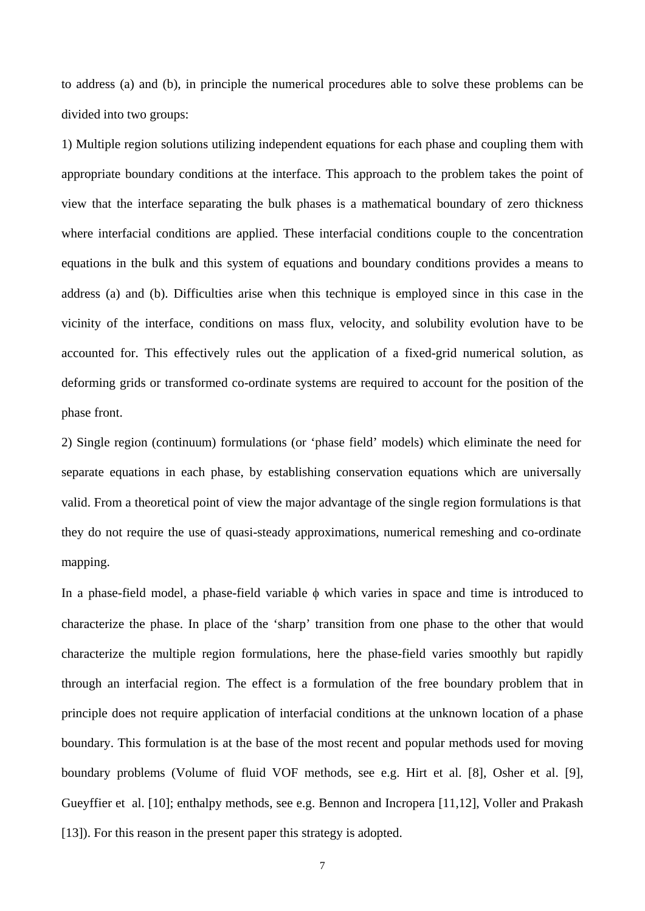to address (a) and (b), in principle the numerical procedures able to solve these problems can be divided into two groups:

1) Multiple region solutions utilizing independent equations for each phase and coupling them with appropriate boundary conditions at the interface. This approach to the problem takes the point of view that the interface separating the bulk phases is a mathematical boundary of zero thickness where interfacial conditions are applied. These interfacial conditions couple to the concentration equations in the bulk and this system of equations and boundary conditions provides a means to address (a) and (b). Difficulties arise when this technique is employed since in this case in the vicinity of the interface, conditions on mass flux, velocity, and solubility evolution have to be accounted for. This effectively rules out the application of a fixed-grid numerical solution, as deforming grids or transformed co-ordinate systems are required to account for the position of the phase front.

2) Single region (continuum) formulations (or 'phase field' models) which eliminate the need for separate equations in each phase, by establishing conservation equations which are universally valid. From a theoretical point of view the major advantage of the single region formulations is that they do not require the use of quasi-steady approximations, numerical remeshing and co-ordinate mapping.

In a phase-field model, a phase-field variable  $\phi$  which varies in space and time is introduced to characterize the phase. In place of the 'sharp' transition from one phase to the other that would characterize the multiple region formulations, here the phase-field varies smoothly but rapidly through an interfacial region. The effect is a formulation of the free boundary problem that in principle does not require application of interfacial conditions at the unknown location of a phase boundary. This formulation is at the base of the most recent and popular methods used for moving boundary problems (Volume of fluid VOF methods, see e.g. Hirt et al. [8], Osher et al. [9], Gueyffier et al. [10]; enthalpy methods, see e.g. Bennon and Incropera [11,12], Voller and Prakash [13]). For this reason in the present paper this strategy is adopted.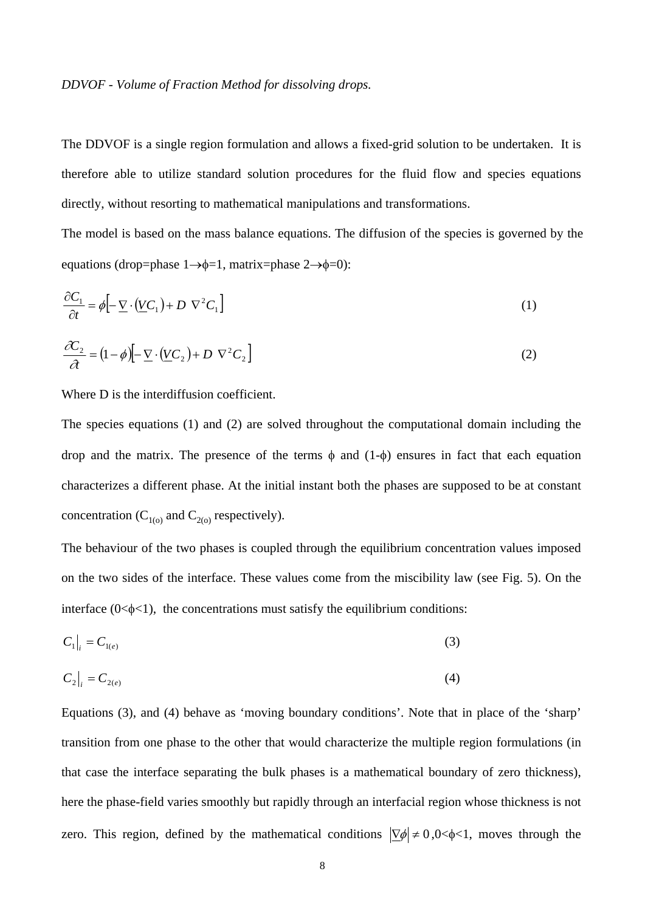### *DDVOF - Volume of Fraction Method for dissolving drops.*

The DDVOF is a single region formulation and allows a fixed-grid solution to be undertaken. It is therefore able to utilize standard solution procedures for the fluid flow and species equations directly, without resorting to mathematical manipulations and transformations.

The model is based on the mass balance equations. The diffusion of the species is governed by the equations (drop=phase  $1 \rightarrow \phi=1$ , matrix=phase  $2 \rightarrow \phi=0$ ):

$$
\frac{\partial C_1}{\partial t} = \phi \Big[ -\underline{\nabla} \cdot (\underline{V}C_1) + D \nabla^2 C_1 \Big] \tag{1}
$$

$$
\frac{\partial C_2}{\partial t} = (1 - \phi) \left[ -\underline{\nabla} \cdot (\underline{V} C_2) + D \nabla^2 C_2 \right]
$$
\n(2)

Where D is the interdiffusion coefficient.

The species equations (1) and (2) are solved throughout the computational domain including the drop and the matrix. The presence of the terms  $\phi$  and (1- $\phi$ ) ensures in fact that each equation characterizes a different phase. At the initial instant both the phases are supposed to be at constant concentration ( $C_{1(0)}$  and  $C_{2(0)}$  respectively).

The behaviour of the two phases is coupled through the equilibrium concentration values imposed on the two sides of the interface. These values come from the miscibility law (see Fig. 5). On the interface  $(0<\phi<1)$ , the concentrations must satisfy the equilibrium conditions:

$$
C_1\big|_{i} = C_{1(e)} \tag{3}
$$

$$
C_2\big|_i = C_{2(e)}\tag{4}
$$

Equations (3), and (4) behave as 'moving boundary conditions'. Note that in place of the 'sharp' transition from one phase to the other that would characterize the multiple region formulations (in that case the interface separating the bulk phases is a mathematical boundary of zero thickness), here the phase-field varies smoothly but rapidly through an interfacial region whose thickness is not zero. This region, defined by the mathematical conditions  $|\nabla \phi| \neq 0, 0 < \phi < 1$ , moves through the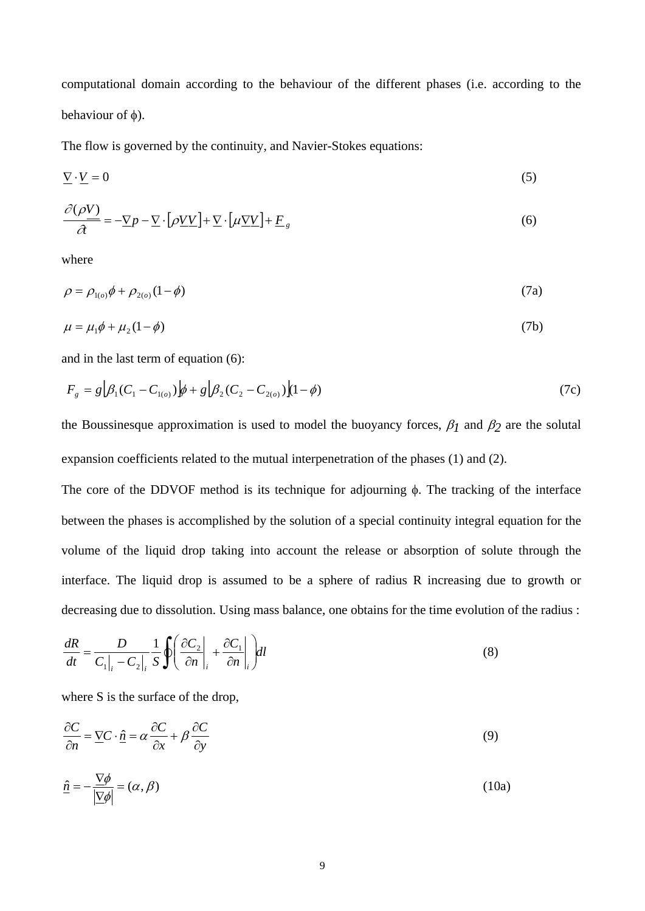computational domain according to the behaviour of the different phases (i.e. according to the behaviour of  $\phi$ ).

The flow is governed by the continuity, and Navier-Stokes equations:

$$
\nabla \cdot V = 0 \tag{5}
$$

$$
\frac{\partial(\rho V)}{\partial t} = -\nabla p - \nabla \cdot \left[\rho V V\right] + \nabla \cdot \left[\mu \nabla V\right] + \underline{F}_g \tag{6}
$$

where

$$
\rho = \rho_{1(o)} \phi + \rho_{2(o)} (1 - \phi) \tag{7a}
$$

$$
\mu = \mu_1 \phi + \mu_2 (1 - \phi) \tag{7b}
$$

and in the last term of equation (6):

$$
F_g = g \left[ \beta_1 (C_1 - C_{1(\rho)}) \right] \phi + g \left[ \beta_2 (C_2 - C_{2(\rho)}) \right] (1 - \phi) \tag{7c}
$$

the Boussinesque approximation is used to model the buoyancy forces,  $\beta_1$  and  $\beta_2$  are the solutal expansion coefficients related to the mutual interpenetration of the phases (1) and (2).

The core of the DDVOF method is its technique for adjourning  $\phi$ . The tracking of the interface between the phases is accomplished by the solution of a special continuity integral equation for the volume of the liquid drop taking into account the release or absorption of solute through the interface. The liquid drop is assumed to be a sphere of radius R increasing due to growth or decreasing due to dissolution. Using mass balance, one obtains for the time evolution of the radius :

$$
\frac{dR}{dt} = \frac{D}{C_1|_i - C_2|_i} \frac{1}{S} \oint \left( \frac{\partial C_2}{\partial n} \bigg|_i + \frac{\partial C_1}{\partial n} \bigg|_i \right) dl \tag{8}
$$

where S is the surface of the drop,

$$
\frac{\partial C}{\partial n} = \underline{\nabla} C \cdot \hat{\underline{n}} = \alpha \frac{\partial C}{\partial x} + \beta \frac{\partial C}{\partial y}
$$
(9)

$$
\hat{\underline{n}} = -\frac{\nabla \phi}{|\underline{\nabla} \phi|} = (\alpha, \beta) \tag{10a}
$$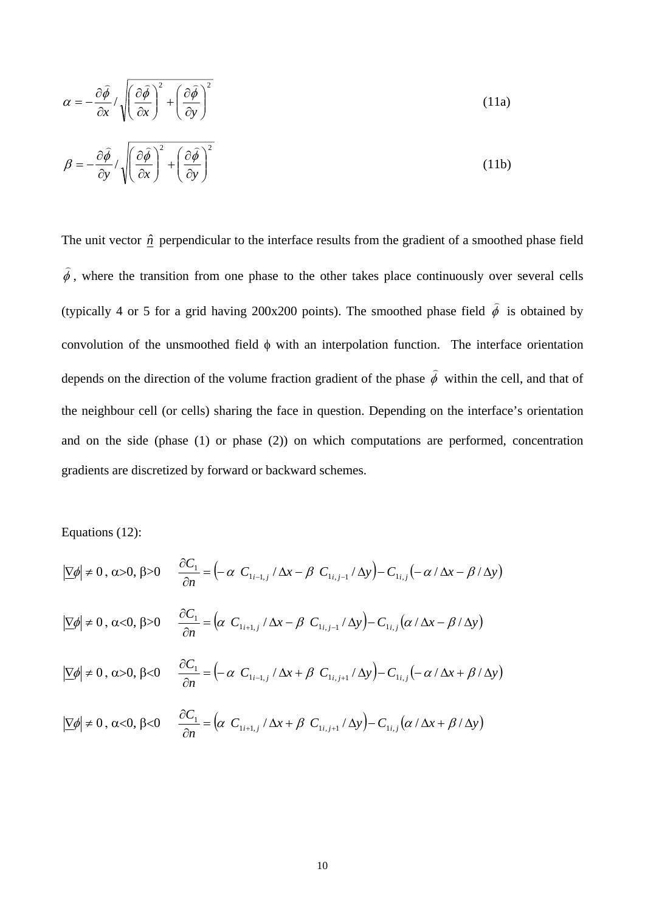$$
\alpha = -\frac{\partial \hat{\phi}}{\partial x} / \sqrt{\left(\frac{\partial \hat{\phi}}{\partial x}\right)^2 + \left(\frac{\partial \hat{\phi}}{\partial y}\right)^2}
$$
(11a)  

$$
\beta = -\frac{\partial \hat{\phi}}{\partial y} / \sqrt{\left(\frac{\partial \hat{\phi}}{\partial x}\right)^2 + \left(\frac{\partial \hat{\phi}}{\partial y}\right)^2}
$$
(11b)

The unit vector  $\hat{n}$  perpendicular to the interface results from the gradient of a smoothed phase field  $\hat{\phi}$ , where the transition from one phase to the other takes place continuously over several cells (typically 4 or 5 for a grid having 200x200 points). The smoothed phase field  $\hat{\phi}$  is obtained by convolution of the unsmoothed field  $\phi$  with an interpolation function. The interface orientation depends on the direction of the volume fraction gradient of the phase  $\hat{\phi}$  within the cell, and that of the neighbour cell (or cells) sharing the face in question. Depending on the interface's orientation and on the side (phase (1) or phase (2)) on which computations are performed, concentration gradients are discretized by forward or backward schemes.

Equations (12):

$$
|\nabla \phi| \neq 0, \alpha > 0, \beta > 0 \qquad \frac{\partial C_1}{\partial n} = \left(-\alpha \ C_{1_{i-1,j}} / \Delta x - \beta \ C_{1_{i,j-1}} / \Delta y\right) - C_{1_{i,j}}\left(-\alpha / \Delta x - \beta / \Delta y\right)
$$
  

$$
|\nabla \phi| \neq 0, \alpha < 0, \beta > 0 \qquad \frac{\partial C_1}{\partial n} = \left(\alpha \ C_{1_{i+1,j}} / \Delta x - \beta \ C_{1_{i,j-1}} / \Delta y\right) - C_{1_{i,j}}\left(\alpha / \Delta x - \beta / \Delta y\right)
$$
  

$$
|\nabla \phi| \neq 0, \alpha > 0, \beta < 0 \qquad \frac{\partial C_1}{\partial n} = \left(-\alpha \ C_{1_{i-1,j}} / \Delta x + \beta \ C_{1_{i,j+1}} / \Delta y\right) - C_{1_{i,j}}\left(-\alpha / \Delta x + \beta / \Delta y\right)
$$
  

$$
|\nabla \phi| \neq 0, \alpha < 0, \beta < 0 \qquad \frac{\partial C_1}{\partial n} = \left(\alpha \ C_{1_{i+1,j}} / \Delta x + \beta \ C_{1_{i,j+1}} / \Delta y\right) - C_{1_{i,j}}\left(\alpha / \Delta x + \beta / \Delta y\right)
$$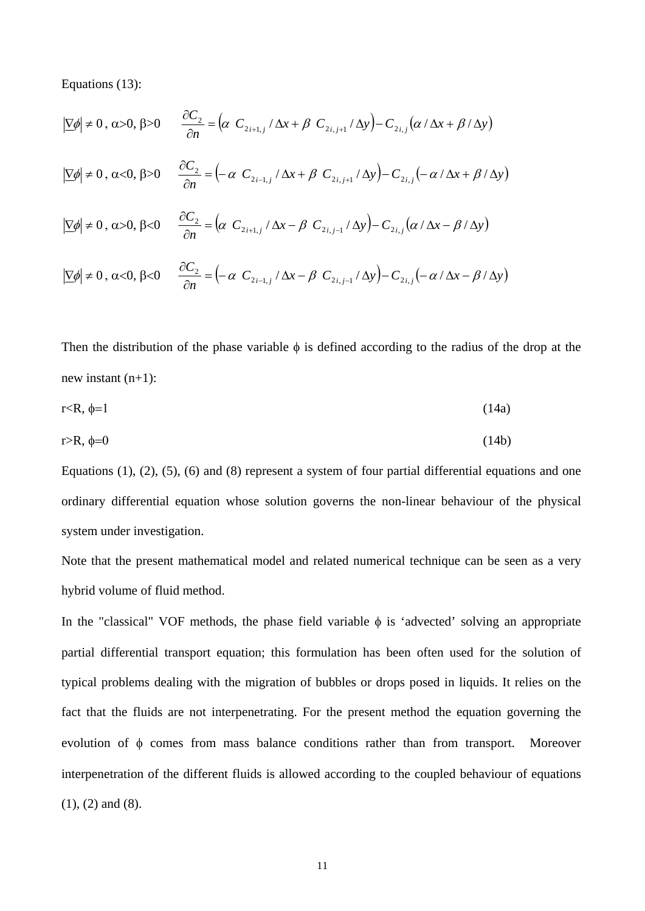Equations (13):

$$
|\nabla \phi| \neq 0, \alpha > 0, \beta > 0 \qquad \frac{\partial C_2}{\partial n} = \left(\alpha \ C_{2i+1,j} / \Delta x + \beta \ C_{2i,j+1} / \Delta y\right) - C_{2i,j} \left(\alpha / \Delta x + \beta / \Delta y\right)
$$
  

$$
|\nabla \phi| \neq 0, \alpha < 0, \beta > 0 \qquad \frac{\partial C_2}{\partial n} = \left(-\alpha \ C_{2i-1,j} / \Delta x + \beta \ C_{2i,j+1} / \Delta y\right) - C_{2i,j} \left(-\alpha / \Delta x + \beta / \Delta y\right)
$$
  

$$
|\nabla \phi| \neq 0, \alpha > 0, \beta < 0 \qquad \frac{\partial C_2}{\partial n} = \left(\alpha \ C_{2i+1,j} / \Delta x - \beta \ C_{2i,j-1} / \Delta y\right) - C_{2i,j} \left(\alpha / \Delta x - \beta / \Delta y\right)
$$
  

$$
|\nabla \phi| \neq 0, \alpha < 0, \beta < 0 \qquad \frac{\partial C_2}{\partial n} = \left(-\alpha \ C_{2i-1,j} / \Delta x - \beta \ C_{2i,j-1} / \Delta y\right) - C_{2i,j} \left(-\alpha / \Delta x - \beta / \Delta y\right)
$$

Then the distribution of the phase variable  $\phi$  is defined according to the radius of the drop at the new instant  $(n+1)$ :

$$
r < R, \phi = 1 \tag{14a}
$$

$$
r > R, \phi = 0 \tag{14b}
$$

Equations (1), (2), (5), (6) and (8) represent a system of four partial differential equations and one ordinary differential equation whose solution governs the non-linear behaviour of the physical system under investigation.

Note that the present mathematical model and related numerical technique can be seen as a very hybrid volume of fluid method.

In the "classical" VOF methods, the phase field variable  $\phi$  is 'advected' solving an appropriate partial differential transport equation; this formulation has been often used for the solution of typical problems dealing with the migration of bubbles or drops posed in liquids. It relies on the fact that the fluids are not interpenetrating. For the present method the equation governing the evolution of  $\phi$  comes from mass balance conditions rather than from transport. Moreover interpenetration of the different fluids is allowed according to the coupled behaviour of equations (1), (2) and (8).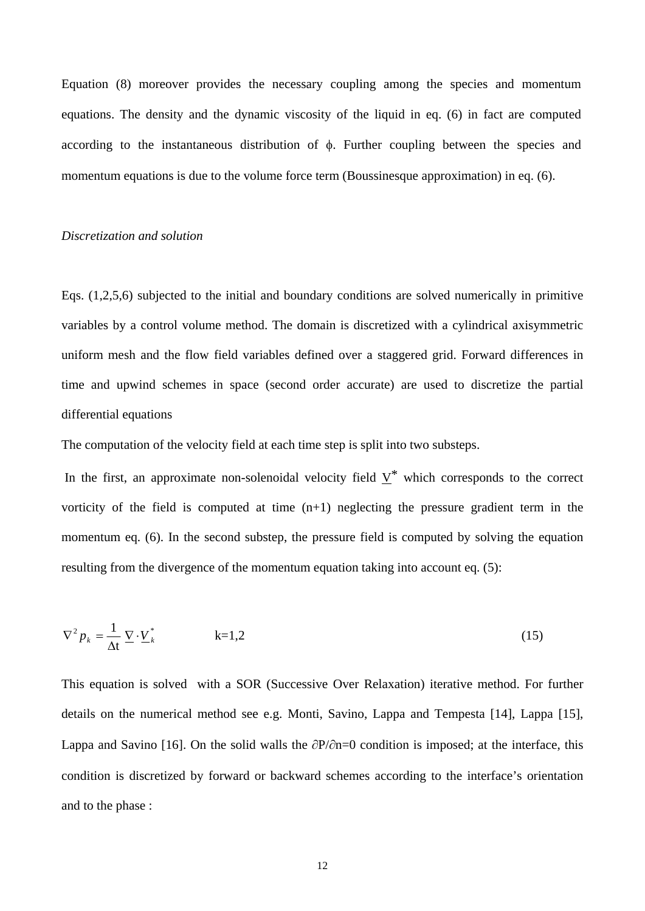Equation (8) moreover provides the necessary coupling among the species and momentum equations. The density and the dynamic viscosity of the liquid in eq. (6) in fact are computed according to the instantaneous distribution of  $\phi$ . Further coupling between the species and momentum equations is due to the volume force term (Boussinesque approximation) in eq. (6).

### *Discretization and solution*

Eqs. (1,2,5,6) subjected to the initial and boundary conditions are solved numerically in primitive variables by a control volume method. The domain is discretized with a cylindrical axisymmetric uniform mesh and the flow field variables defined over a staggered grid. Forward differences in time and upwind schemes in space (second order accurate) are used to discretize the partial differential equations

The computation of the velocity field at each time step is split into two substeps.

In the first, an approximate non-solenoidal velocity field  $\underline{V}^*$  which corresponds to the correct vorticity of the field is computed at time  $(n+1)$  neglecting the pressure gradient term in the momentum eq. (6). In the second substep, the pressure field is computed by solving the equation resulting from the divergence of the momentum equation taking into account eq. (5):

$$
\nabla^2 p_k = \frac{1}{\Delta t} \underline{\nabla} \cdot \underline{V}_k^* \qquad k = 1, 2 \tag{15}
$$

This equation is solved with a SOR (Successive Over Relaxation) iterative method. For further details on the numerical method see e.g. Monti, Savino, Lappa and Tempesta [14], Lappa [15], Lappa and Savino [16]. On the solid walls the  $\partial P/\partial n=0$  condition is imposed; at the interface, this condition is discretized by forward or backward schemes according to the interface's orientation and to the phase :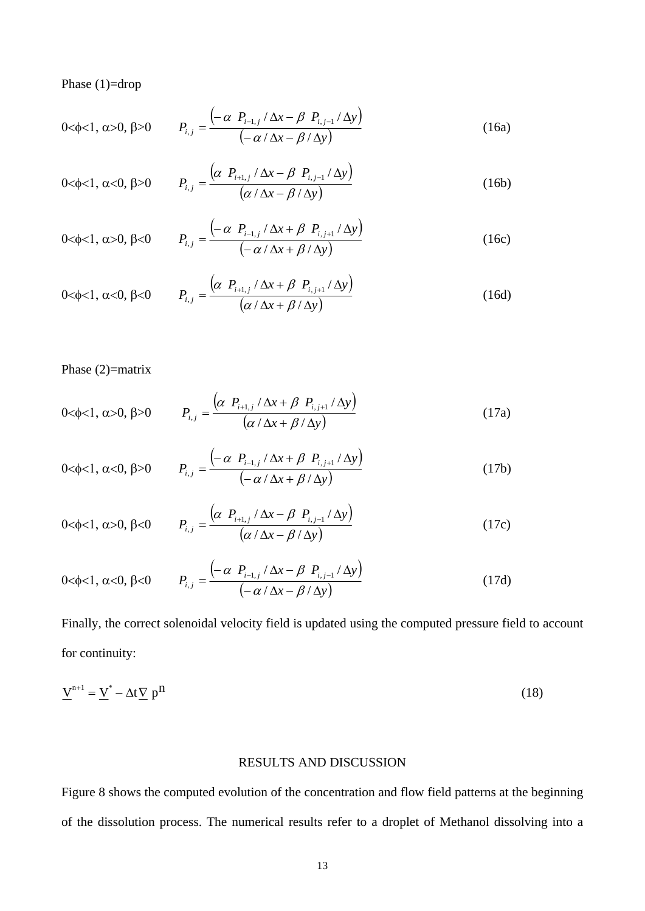Phase (1)=drop

$$
0<\phi<1, \alpha>0, \beta>0 \qquad P_{i,j} = \frac{\left(-\alpha \ P_{i-1,j} / \Delta x - \beta \ P_{i,j-1} / \Delta y\right)}{\left(-\alpha / \Delta x - \beta / \Delta y\right)}
$$
(16a)

0<\phi<1, \alpha<0, \beta>0 
$$
P_{i,j} = \frac{(\alpha P_{i+1,j} / \Delta x - \beta P_{i,j-1} / \Delta y)}{(\alpha / \Delta x - \beta / \Delta y)}
$$
 (16b)

$$
0 < \phi < 1, \, \alpha > 0, \, \beta < 0 \qquad P_{i,j} = \frac{\left(-\alpha \, P_{i-1,j} / \Delta x + \beta \, P_{i,j+1} / \Delta y\right)}{\left(-\alpha \, / \Delta x + \beta \, / \Delta y\right)} \tag{16c}
$$

$$
0 < \phi < 1, \ \alpha < 0, \ \beta < 0 \qquad P_{i,j} = \frac{\left(\alpha \ P_{i+1,j} / \Delta x + \beta \ P_{i,j+1} / \Delta y\right)}{\left(\alpha / \Delta x + \beta / \Delta y\right)}
$$
(16d)

## Phase (2)=matrix

$$
0<\phi<1, \alpha>0, \beta>0
$$
  $P_{i,j} = \frac{\left(\alpha \ P_{i+1,j} / \Delta x + \beta \ P_{i,j+1} / \Delta y\right)}{\left(\alpha \Delta x + \beta \Delta y\right)}$  (17a)

$$
0 < \phi < 1, \ \alpha < 0, \ \beta > 0 \qquad P_{i,j} = \frac{\left(-\alpha \, P_{i-1,j} / \Delta x + \beta \, P_{i,j+1} / \Delta y\right)}{\left(-\alpha \, / \Delta x + \beta \, / \Delta y\right)} \tag{17b}
$$

 $\overline{a}$ 

$$
0 < \phi < 1, \, \alpha > 0, \, \beta < 0 \qquad P_{i,j} = \frac{\left(\alpha \, P_{i+1,j} \, / \, \Delta x - \beta \, P_{i,j-1} \, / \, \Delta y\right)}{\left(\alpha \, / \, \Delta x - \beta \, / \, \Delta y\right)} \tag{17c}
$$

$$
0 < \phi < 1, \alpha < 0, \beta < 0 \qquad P_{i,j} = \frac{\left(-\alpha \ P_{i-1,j} / \Delta x - \beta \ P_{i,j-1} / \Delta y\right)}{\left(-\alpha / \Delta x - \beta / \Delta y\right)}
$$
(17d)

Finally, the correct solenoidal velocity field is updated using the computed pressure field to account for continuity:

$$
\underline{V}^{n+1} = \underline{V}^* - \Delta t \underline{V} p^n \tag{18}
$$

### RESULTS AND DISCUSSION

Figure 8 shows the computed evolution of the concentration and flow field patterns at the beginning of the dissolution process. The numerical results refer to a droplet of Methanol dissolving into a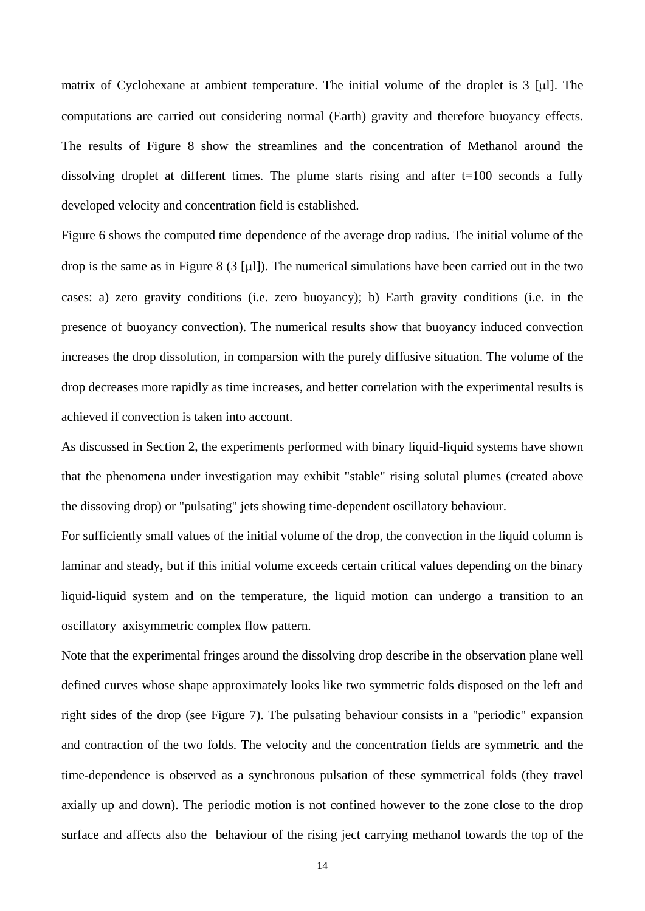matrix of Cyclohexane at ambient temperature. The initial volume of the droplet is  $3 \text{ [µ]}$ . The computations are carried out considering normal (Earth) gravity and therefore buoyancy effects. The results of Figure 8 show the streamlines and the concentration of Methanol around the dissolving droplet at different times. The plume starts rising and after  $t=100$  seconds a fully developed velocity and concentration field is established.

Figure 6 shows the computed time dependence of the average drop radius. The initial volume of the drop is the same as in Figure 8 (3 [µ]). The numerical simulations have been carried out in the two cases: a) zero gravity conditions (i.e. zero buoyancy); b) Earth gravity conditions (i.e. in the presence of buoyancy convection). The numerical results show that buoyancy induced convection increases the drop dissolution, in comparsion with the purely diffusive situation. The volume of the drop decreases more rapidly as time increases, and better correlation with the experimental results is achieved if convection is taken into account.

As discussed in Section 2, the experiments performed with binary liquid-liquid systems have shown that the phenomena under investigation may exhibit "stable" rising solutal plumes (created above the dissoving drop) or "pulsating" jets showing time-dependent oscillatory behaviour.

For sufficiently small values of the initial volume of the drop, the convection in the liquid column is laminar and steady, but if this initial volume exceeds certain critical values depending on the binary liquid-liquid system and on the temperature, the liquid motion can undergo a transition to an oscillatory axisymmetric complex flow pattern.

Note that the experimental fringes around the dissolving drop describe in the observation plane well defined curves whose shape approximately looks like two symmetric folds disposed on the left and right sides of the drop (see Figure 7). The pulsating behaviour consists in a "periodic" expansion and contraction of the two folds. The velocity and the concentration fields are symmetric and the time-dependence is observed as a synchronous pulsation of these symmetrical folds (they travel axially up and down). The periodic motion is not confined however to the zone close to the drop surface and affects also the behaviour of the rising ject carrying methanol towards the top of the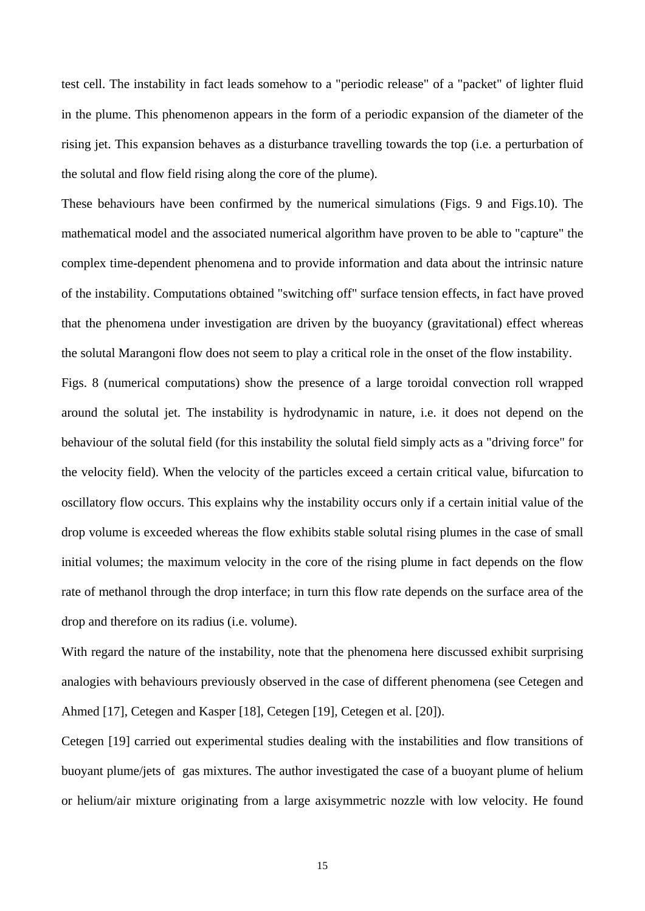test cell. The instability in fact leads somehow to a "periodic release" of a "packet" of lighter fluid in the plume. This phenomenon appears in the form of a periodic expansion of the diameter of the rising jet. This expansion behaves as a disturbance travelling towards the top (i.e. a perturbation of the solutal and flow field rising along the core of the plume).

These behaviours have been confirmed by the numerical simulations (Figs. 9 and Figs.10). The mathematical model and the associated numerical algorithm have proven to be able to "capture" the complex time-dependent phenomena and to provide information and data about the intrinsic nature of the instability. Computations obtained "switching off" surface tension effects, in fact have proved that the phenomena under investigation are driven by the buoyancy (gravitational) effect whereas the solutal Marangoni flow does not seem to play a critical role in the onset of the flow instability.

Figs. 8 (numerical computations) show the presence of a large toroidal convection roll wrapped around the solutal jet. The instability is hydrodynamic in nature, i.e. it does not depend on the behaviour of the solutal field (for this instability the solutal field simply acts as a "driving force" for the velocity field). When the velocity of the particles exceed a certain critical value, bifurcation to oscillatory flow occurs. This explains why the instability occurs only if a certain initial value of the drop volume is exceeded whereas the flow exhibits stable solutal rising plumes in the case of small initial volumes; the maximum velocity in the core of the rising plume in fact depends on the flow rate of methanol through the drop interface; in turn this flow rate depends on the surface area of the drop and therefore on its radius (i.e. volume).

With regard the nature of the instability, note that the phenomena here discussed exhibit surprising analogies with behaviours previously observed in the case of different phenomena (see Cetegen and Ahmed [17], Cetegen and Kasper [18], Cetegen [19], Cetegen et al. [20]).

Cetegen [19] carried out experimental studies dealing with the instabilities and flow transitions of buoyant plume/jets of gas mixtures. The author investigated the case of a buoyant plume of helium or helium/air mixture originating from a large axisymmetric nozzle with low velocity. He found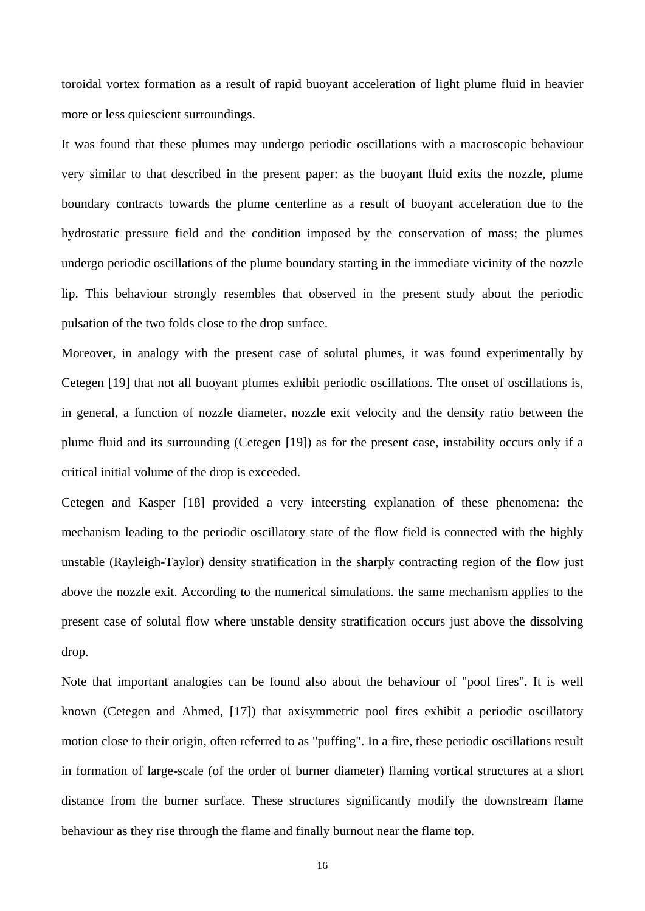toroidal vortex formation as a result of rapid buoyant acceleration of light plume fluid in heavier more or less quiescient surroundings.

It was found that these plumes may undergo periodic oscillations with a macroscopic behaviour very similar to that described in the present paper: as the buoyant fluid exits the nozzle, plume boundary contracts towards the plume centerline as a result of buoyant acceleration due to the hydrostatic pressure field and the condition imposed by the conservation of mass; the plumes undergo periodic oscillations of the plume boundary starting in the immediate vicinity of the nozzle lip. This behaviour strongly resembles that observed in the present study about the periodic pulsation of the two folds close to the drop surface.

Moreover, in analogy with the present case of solutal plumes, it was found experimentally by Cetegen [19] that not all buoyant plumes exhibit periodic oscillations. The onset of oscillations is, in general, a function of nozzle diameter, nozzle exit velocity and the density ratio between the plume fluid and its surrounding (Cetegen [19]) as for the present case, instability occurs only if a critical initial volume of the drop is exceeded.

Cetegen and Kasper [18] provided a very inteersting explanation of these phenomena: the mechanism leading to the periodic oscillatory state of the flow field is connected with the highly unstable (Rayleigh-Taylor) density stratification in the sharply contracting region of the flow just above the nozzle exit. According to the numerical simulations. the same mechanism applies to the present case of solutal flow where unstable density stratification occurs just above the dissolving drop.

Note that important analogies can be found also about the behaviour of "pool fires". It is well known (Cetegen and Ahmed, [17]) that axisymmetric pool fires exhibit a periodic oscillatory motion close to their origin, often referred to as "puffing". In a fire, these periodic oscillations result in formation of large-scale (of the order of burner diameter) flaming vortical structures at a short distance from the burner surface. These structures significantly modify the downstream flame behaviour as they rise through the flame and finally burnout near the flame top.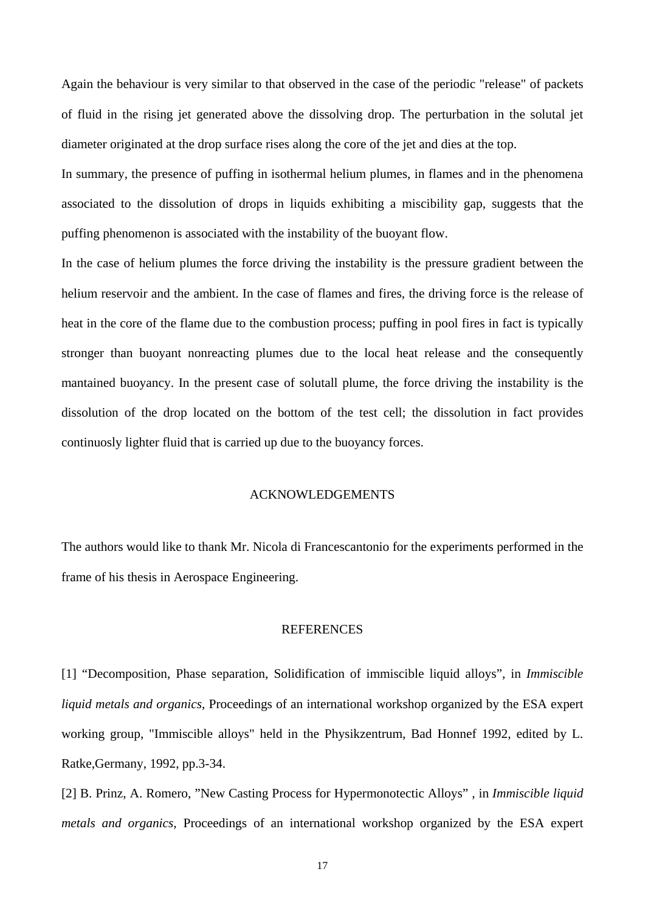Again the behaviour is very similar to that observed in the case of the periodic "release" of packets of fluid in the rising jet generated above the dissolving drop. The perturbation in the solutal jet diameter originated at the drop surface rises along the core of the jet and dies at the top.

In summary, the presence of puffing in isothermal helium plumes, in flames and in the phenomena associated to the dissolution of drops in liquids exhibiting a miscibility gap, suggests that the puffing phenomenon is associated with the instability of the buoyant flow.

In the case of helium plumes the force driving the instability is the pressure gradient between the helium reservoir and the ambient. In the case of flames and fires, the driving force is the release of heat in the core of the flame due to the combustion process; puffing in pool fires in fact is typically stronger than buoyant nonreacting plumes due to the local heat release and the consequently mantained buoyancy. In the present case of solutall plume, the force driving the instability is the dissolution of the drop located on the bottom of the test cell; the dissolution in fact provides continuosly lighter fluid that is carried up due to the buoyancy forces.

## ACKNOWLEDGEMENTS

The authors would like to thank Mr. Nicola di Francescantonio for the experiments performed in the frame of his thesis in Aerospace Engineering.

#### **REFERENCES**

[1] "Decomposition, Phase separation, Solidification of immiscible liquid alloys", in *Immiscible liquid metals and organics*, Proceedings of an international workshop organized by the ESA expert working group, "Immiscible alloys" held in the Physikzentrum, Bad Honnef 1992, edited by L. Ratke,Germany, 1992, pp.3-34.

[2] B. Prinz, A. Romero, "New Casting Process for Hypermonotectic Alloys" , in *Immiscible liquid metals and organics*, Proceedings of an international workshop organized by the ESA expert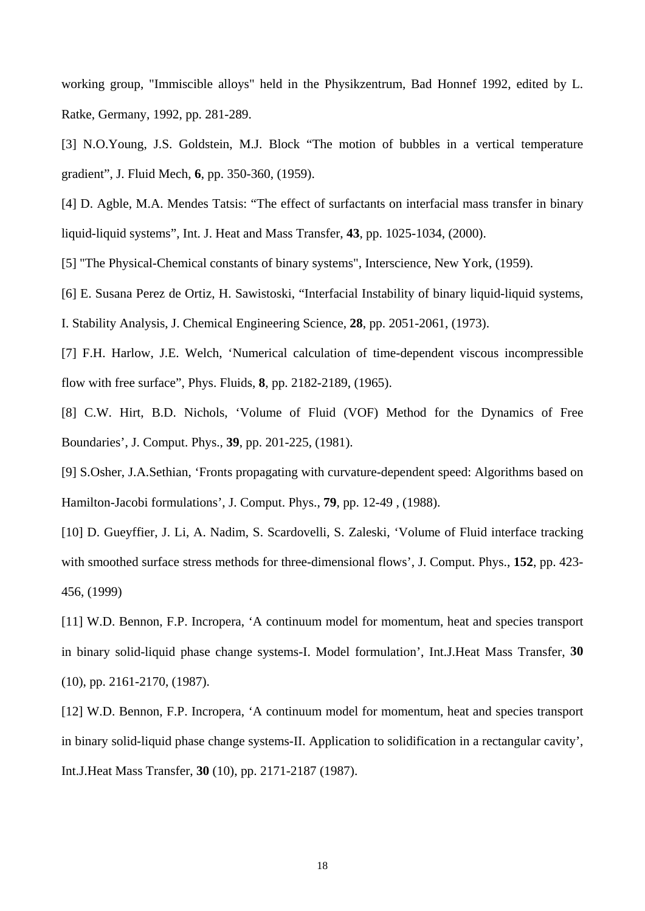working group, "Immiscible alloys" held in the Physikzentrum, Bad Honnef 1992, edited by L. Ratke, Germany, 1992, pp. 281-289.

[3] N.O.Young, J.S. Goldstein, M.J. Block "The motion of bubbles in a vertical temperature gradient", J. Fluid Mech, **6**, pp. 350-360, (1959).

[4] D. Agble, M.A. Mendes Tatsis: "The effect of surfactants on interfacial mass transfer in binary liquid-liquid systems", Int. J. Heat and Mass Transfer, **43**, pp. 1025-1034, (2000).

[5] "The Physical-Chemical constants of binary systems", Interscience, New York, (1959).

[6] E. Susana Perez de Ortiz, H. Sawistoski, "Interfacial Instability of binary liquid-liquid systems,

I. Stability Analysis, J. Chemical Engineering Science, **28**, pp. 2051-2061, (1973).

[7] F.H. Harlow, J.E. Welch, 'Numerical calculation of time-dependent viscous incompressible flow with free surface", Phys. Fluids, **8**, pp. 2182-2189, (1965).

[8] C.W. Hirt, B.D. Nichols, 'Volume of Fluid (VOF) Method for the Dynamics of Free Boundaries', J. Comput. Phys., **39**, pp. 201-225, (1981).

[9] S.Osher, J.A.Sethian, 'Fronts propagating with curvature-dependent speed: Algorithms based on Hamilton-Jacobi formulations', J. Comput. Phys., **79**, pp. 12-49 , (1988).

[10] D. Gueyffier, J. Li, A. Nadim, S. Scardovelli, S. Zaleski, 'Volume of Fluid interface tracking with smoothed surface stress methods for three-dimensional flows', J. Comput. Phys., **152**, pp. 423- 456, (1999)

[11] W.D. Bennon, F.P. Incropera, 'A continuum model for momentum, heat and species transport in binary solid-liquid phase change systems-I. Model formulation', Int.J.Heat Mass Transfer, **30** (10), pp. 2161-2170, (1987).

[12] W.D. Bennon, F.P. Incropera, 'A continuum model for momentum, heat and species transport in binary solid-liquid phase change systems-II. Application to solidification in a rectangular cavity', Int.J.Heat Mass Transfer, **30** (10), pp. 2171-2187 (1987).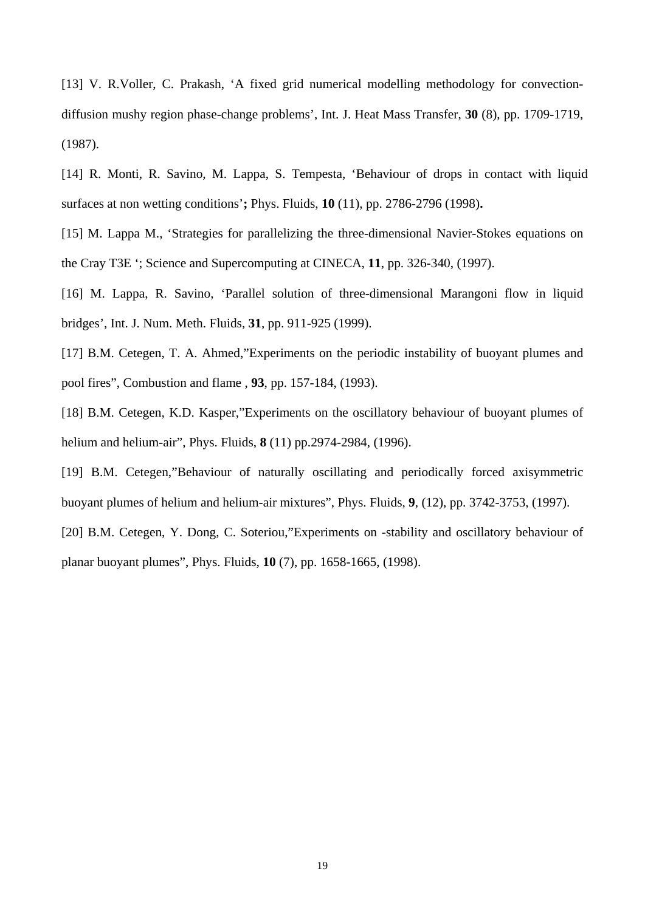[13] V. R.Voller, C. Prakash, 'A fixed grid numerical modelling methodology for convectiondiffusion mushy region phase-change problems', Int. J. Heat Mass Transfer, **30** (8), pp. 1709-1719, (1987).

[14] R. Monti, R. Savino, M. Lappa, S. Tempesta, 'Behaviour of drops in contact with liquid surfaces at non wetting conditions'**;** Phys. Fluids, **10** (11), pp. 2786-2796 (1998)**.** 

[15] M. Lappa M., 'Strategies for parallelizing the three-dimensional Navier-Stokes equations on the Cray T3E '; Science and Supercomputing at CINECA, **11**, pp. 326-340, (1997).

[16] M. Lappa, R. Savino, 'Parallel solution of three-dimensional Marangoni flow in liquid bridges', Int. J. Num. Meth. Fluids, **31**, pp. 911-925 (1999).

[17] B.M. Cetegen, T. A. Ahmed,"Experiments on the periodic instability of buoyant plumes and pool fires", Combustion and flame , **93**, pp. 157-184, (1993).

[18] B.M. Cetegen, K.D. Kasper,"Experiments on the oscillatory behaviour of buoyant plumes of helium and helium-air", Phys. Fluids, **8** (11) pp.2974-2984, (1996).

[19] B.M. Cetegen,"Behaviour of naturally oscillating and periodically forced axisymmetric buoyant plumes of helium and helium-air mixtures", Phys. Fluids, **9**, (12), pp. 3742-3753, (1997).

[20] B.M. Cetegen, Y. Dong, C. Soteriou,"Experiments on -stability and oscillatory behaviour of planar buoyant plumes", Phys. Fluids, **10** (7), pp. 1658-1665, (1998).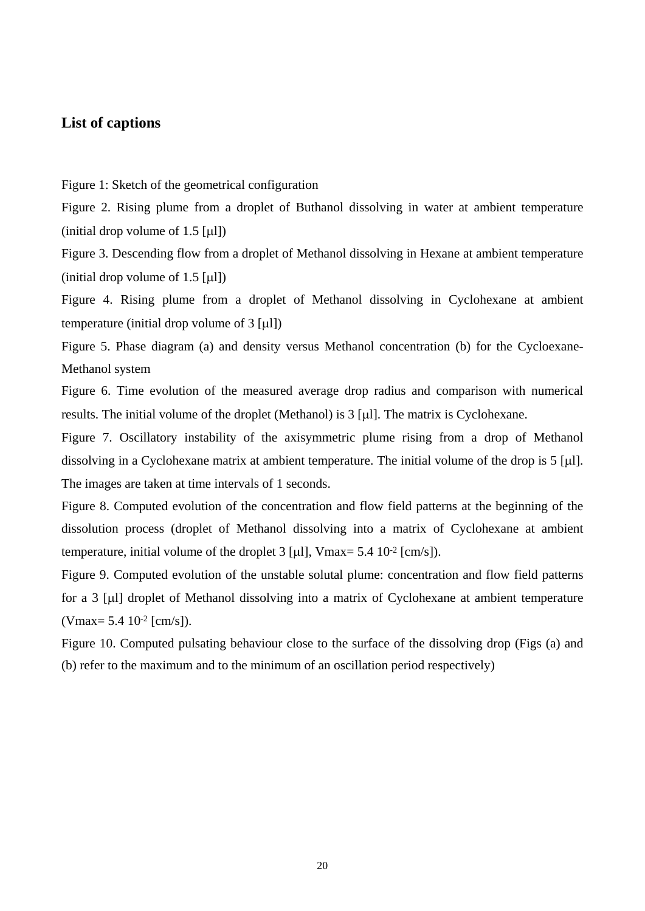## **List of captions**

Figure 1: Sketch of the geometrical configuration

Figure 2. Rising plume from a droplet of Buthanol dissolving in water at ambient temperature  $(i$ nitial drop volume of 1.5  $\lceil \mu \rceil$ )

Figure 3. Descending flow from a droplet of Methanol dissolving in Hexane at ambient temperature (initial drop volume of 1.5  $[\mu\text{l}]$ )

Figure 4. Rising plume from a droplet of Methanol dissolving in Cyclohexane at ambient temperature (initial drop volume of  $3 \text{ [µ]}$ )

Figure 5. Phase diagram (a) and density versus Methanol concentration (b) for the Cycloexane-Methanol system

Figure 6. Time evolution of the measured average drop radius and comparison with numerical results. The initial volume of the droplet (Methanol) is  $3 \left[ \mu \right]$ . The matrix is Cyclohexane.

Figure 7. Oscillatory instability of the axisymmetric plume rising from a drop of Methanol dissolving in a Cyclohexane matrix at ambient temperature. The initial volume of the drop is  $5 \text{ [µ]}$ . The images are taken at time intervals of 1 seconds.

Figure 8. Computed evolution of the concentration and flow field patterns at the beginning of the dissolution process (droplet of Methanol dissolving into a matrix of Cyclohexane at ambient temperature, initial volume of the droplet  $3 \lceil \mu \rceil$ , Vmax=  $5.4 \tceil 0^{-2} \lceil \text{cm/s} \rceil$ ).

Figure 9. Computed evolution of the unstable solutal plume: concentration and flow field patterns for a 3 [ull droplet of Methanol dissolving into a matrix of Cyclohexane at ambient temperature  $(Vmax = 5.4 10^{-2} [cm/s]).$ 

Figure 10. Computed pulsating behaviour close to the surface of the dissolving drop (Figs (a) and (b) refer to the maximum and to the minimum of an oscillation period respectively)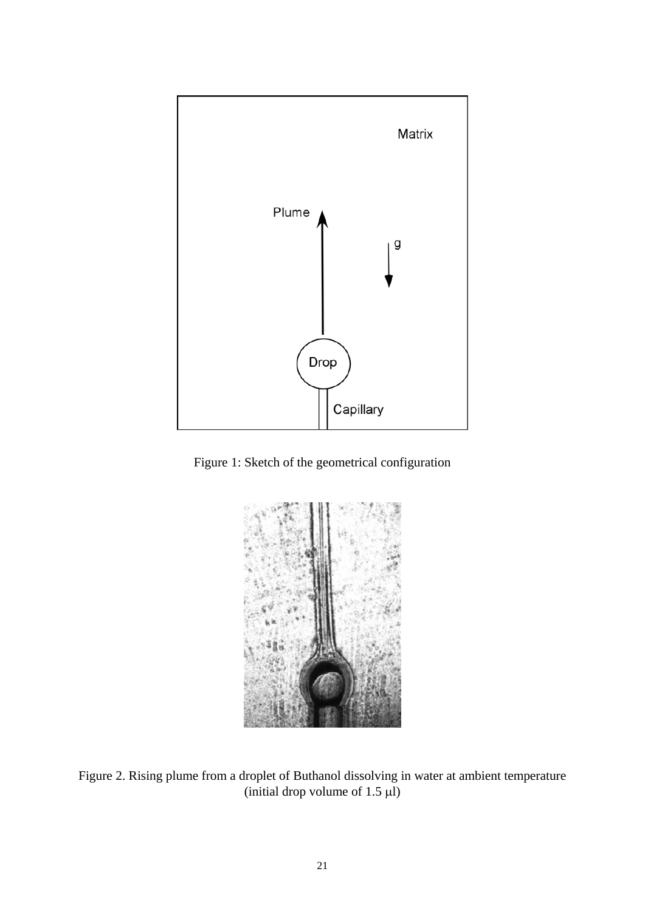

Figure 1: Sketch of the geometrical configuration



Figure 2. Rising plume from a droplet of Buthanol dissolving in water at ambient temperature (initial drop volume of  $1.5 \mu$ )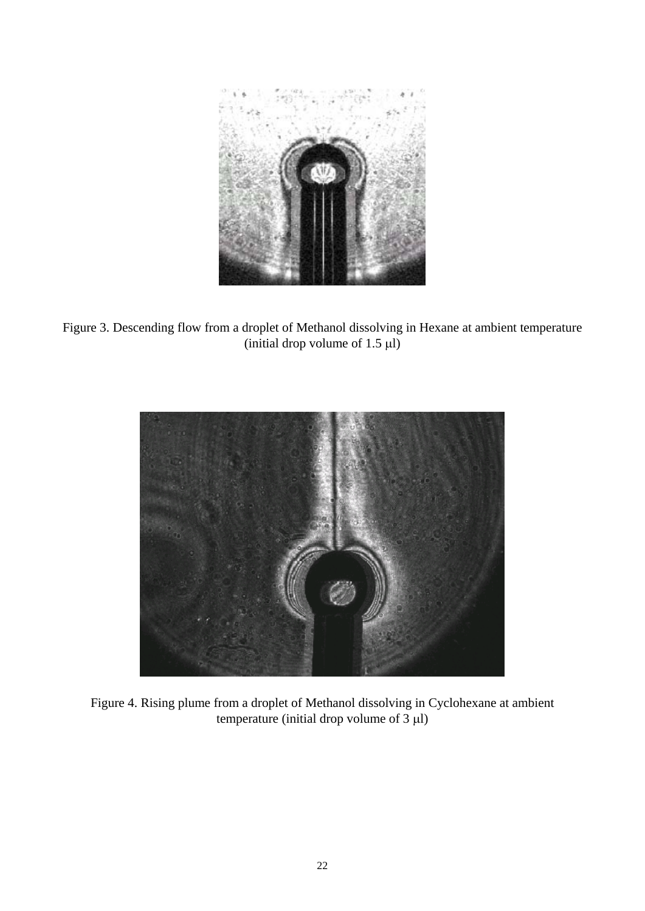

Figure 3. Descending flow from a droplet of Methanol dissolving in Hexane at ambient temperature (initial drop volume of 1.5  $\mu$ l)



Figure 4. Rising plume from a droplet of Methanol dissolving in Cyclohexane at ambient temperature (initial drop volume of  $3 \mu$ )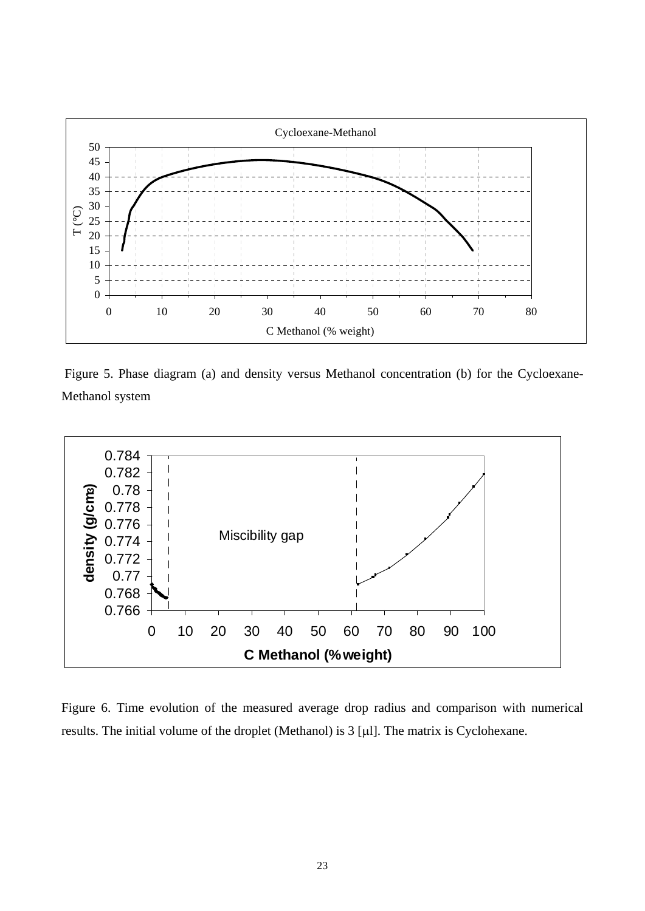

 Figure 5. Phase diagram (a) and density versus Methanol concentration (b) for the Cycloexane-Methanol system



Figure 6. Time evolution of the measured average drop radius and comparison with numerical results. The initial volume of the droplet (Methanol) is  $3 \left[ \mu \right]$ . The matrix is Cyclohexane.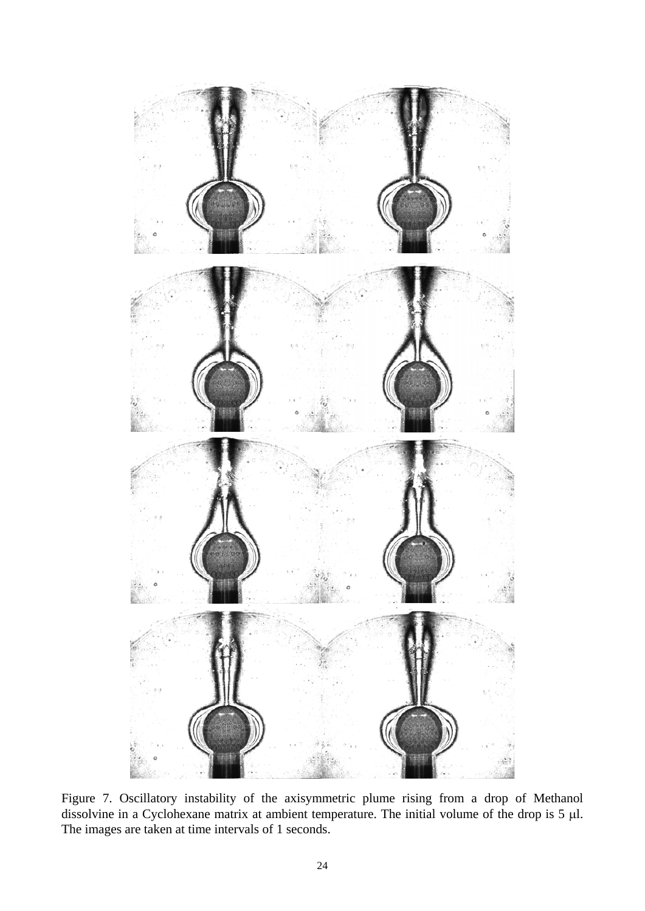

Figure 7. Oscillatory instability of the axisymmetric plume rising from a drop of Methanol dissolvine in a Cyclohexane matrix at ambient temperature. The initial volume of the drop is  $5 \mu$ l. The images are taken at time intervals of 1 seconds.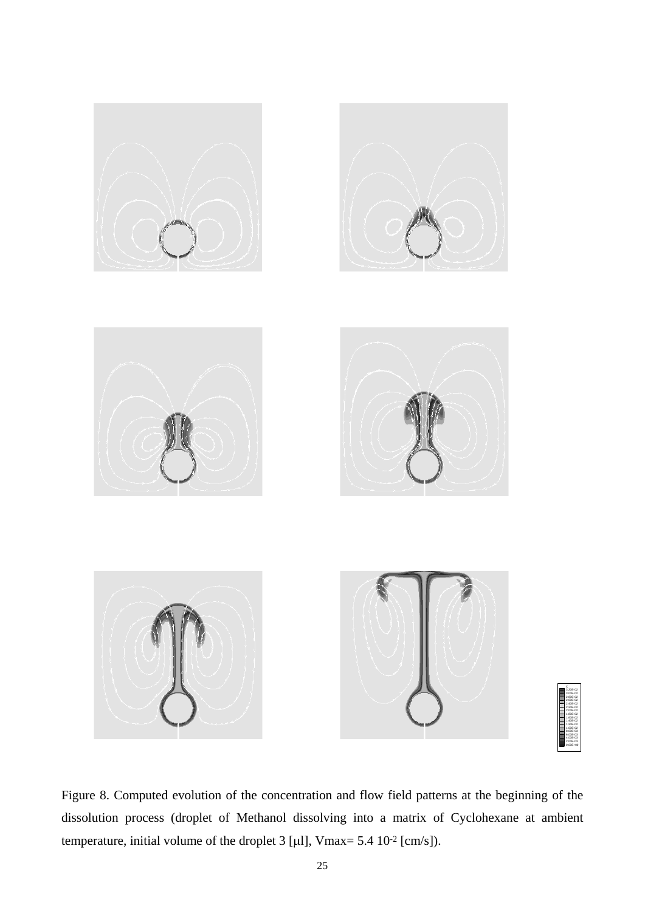

Figure 8. Computed evolution of the concentration and flow field patterns at the beginning of the dissolution process (droplet of Methanol dissolving into a matrix of Cyclohexane at ambient temperature, initial volume of the droplet 3 [ $\mu$ ], Vmax= 5.4 10<sup>-2</sup> [cm/s]).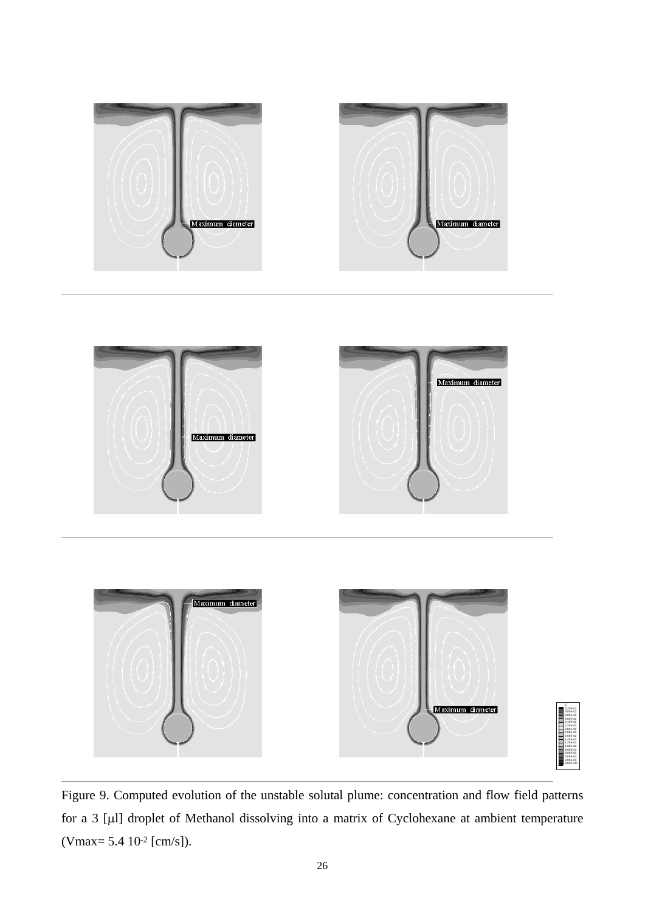

Figure 9. Computed evolution of the unstable solutal plume: concentration and flow field patterns for a 3 [µl] droplet of Methanol dissolving into a matrix of Cyclohexane at ambient temperature (Vmax= 5.4 10-2 [cm/s]).